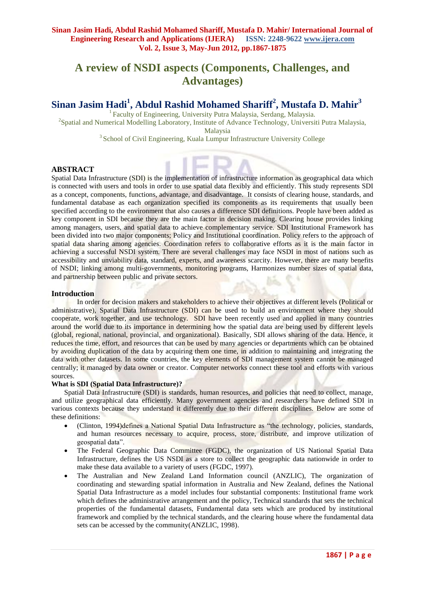# **A review of NSDI aspects (Components, Challenges, and Advantages)**

# **Sinan Jasim Hadi<sup>1</sup> , Abdul Rashid Mohamed Shariff<sup>2</sup> , Mustafa D. Mahir<sup>3</sup>**

<sup>1</sup> Faculty of Engineering, University Putra Malaysia, Serdang, Malaysia. <sup>2</sup>Spatial and Numerical Modelling Laboratory, Institute of Advance Technology, Universiti Putra Malaysia,

Malaysia

<sup>3</sup> School of Civil Engineering, Kuala Lumpur Infrastructure University College

## **ABSTRACT**

Spatial Data Infrastructure (SDI) is the implementation of infrastructure information as geographical data which is connected with users and tools in order to use spatial data flexibly and efficiently. This study represents SDI as a concept, components, functions, advantage, and disadvantage. It consists of clearing house, standards, and fundamental database as each organization specified its components as its requirements that usually been specified according to the environment that also causes a difference SDI definitions. People have been added as key component in SDI because they are the main factor in decision making. Clearing house provides linking among managers, users, and spatial data to achieve complementary service. SDI Institutional Framework has been divided into two major components; Policy and Institutional coordination. Policy refers to the approach of spatial data sharing among agencies. Coordination refers to collaborative efforts as it is the main factor in achieving a successful NSDI system. There are several challenges may face NSDI in most of nations such as accessibility and unviability data, standard, experts, and awareness scarcity. However, there are many benefits of NSDI; linking among multi-governments, monitoring programs, Harmonizes number sizes of spatial data, and partnership between public and private sectors.

## **Introduction**

In order for decision makers and stakeholders to achieve their objectives at different levels (Political or administrative), Spatial Data Infrastructure (SDI) can be used to build an environment where they should cooperate, work together, and use technology. SDI have been recently used and applied in many countries around the world due to its importance in determining how the spatial data are being used by different levels (global, regional, national, provincial, and organizational). Basically, SDI allows sharing of the data. Hence, it reduces the time, effort, and resources that can be used by many agencies or departments which can be obtained by avoiding duplication of the data by acquiring them one time, in addition to maintaining and integrating the data with other datasets. In some countries, the key elements of SDI management system cannot be managed centrally; it managed by data owner or creator. Computer networks connect these tool and efforts with various sources.

#### **What is SDI (Spatial Data Infrastructure)?**

Spatial Data Infrastructure (SDI) is standards, human resources, and policies that need to collect, manage, and utilize geographical data efficiently. Many government agencies and researchers have defined SDI in various contexts because they understand it differently due to their different disciplines. Below are some of these definitions:

- (Clinton, 1994)defines a National Spatial Data Infrastructure as "the technology, policies, standards, and human resources necessary to acquire, process, store, distribute, and improve utilization of geospatial data".
- The Federal Geographic Data Committee (FGDC), the organization of US National Spatial Data Infrastructure, defines the US NSDI as a store to collect the geographic data nationwide in order to make these data available to a variety of users (FGDC, 1997).
- The Australian and New Zealand Land Information council (ANZLIC), The organization of coordinating and stewarding spatial information in Australia and New Zealand, defines the National Spatial Data Infrastructure as a model includes four substantial components: Institutional frame work which defines the administrative arrangement and the policy, Technical standards that sets the technical properties of the fundamental datasets, Fundamental data sets which are produced by institutional framework and complied by the technical standards, and the clearing house where the fundamental data sets can be accessed by the community(ANZLIC, 1998).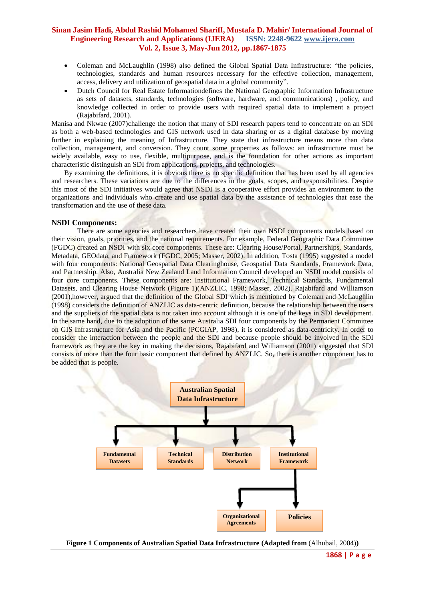- Coleman and McLaughlin (1998) also defined the Global Spatial Data Infrastructure: "the policies, technologies, standards and human resources necessary for the effective collection, management, access, delivery and utilization of geospatial data in a global community".
- Dutch Council for Real Estate Informationdefines the National Geographic Information Infrastructure as sets of datasets, standards, technologies (software, hardware, and communications) , policy, and knowledge collected in order to provide users with required spatial data to implement a project (Rajabifard, 2001).

Manisa and Nkwae (2007)challenge the notion that many of SDI research papers tend to concentrate on an SDI as both a web-based technologies and GIS network used in data sharing or as a digital database by moving further in explaining the meaning of Infrastructure. They state that infrastructure means more than data collection, management, and conversion. They count some properties as follows: an infrastructure must be widely available, easy to use, flexible, multipurpose, and is the foundation for other actions as important characteristic distinguish an SDI from applications, projects, and technologies.

By examining the definitions, it is obvious there is no specific definition that has been used by all agencies and researchers. These variations are due to the differences in the goals, scopes, and responsibilities. Despite this most of the SDI initiatives would agree that NSDI is a cooperative effort provides an environment to the organizations and individuals who create and use spatial data by the assistance of technologies that ease the transformation and the use of these data.

#### **NSDI Components:**

There are some agencies and researchers have created their own NSDI components models based on their vision, goals, priorities, and the national requirements. For example, Federal Geographic Data Committee (FGDC) created an NSDI with six core components. These are: Clearing House/Portal, Partnerships, Standards, Metadata, GEOdata, and Framework (FGDC, 2005; Masser, 2002). In addition, Tosta (1995) suggested a model with four components: National Geospatial Data Clearinghouse, Geospatial Data Standards, Framework Data, and Partnership. Also, Australia New Zealand Land Information Council developed an NSDI model consists of four core components. These components are: Institutional Framework, Technical Standards, Fundamental Datasets, and Clearing House Network (Figure 1)(ANZLIC, 1998; Masser, 2002). Rajabifard and Williamson (2001),however, argued that the definition of the Global SDI which is mentioned by Coleman and McLaughlin (1998) considers the definition of ANZLIC as data-centric definition, because the relationship between the users and the suppliers of the spatial data is not taken into account although it is one of the keys in SDI development. In the same hand, due to the adoption of the same Australia SDI four components by the Permanent Committee on GIS Infrastructure for Asia and the Pacific (PCGIAP, 1998), it is considered as data-centricity. In order to consider the interaction between the people and the SDI and because people should be involved in the SDI framework as they are the key in making the decisions, Rajabifard and Williamson (2001) suggested that SDI consists of more than the four basic component that defined by ANZLIC. So, there is another component has to be added that is people.



**Figure 1 Components of Australian Spatial Data Infrastructure (Adapted from** (Alhubail, 2004)**)**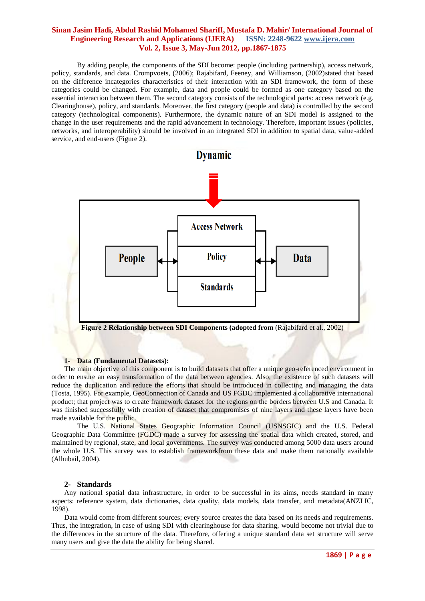By adding people, the components of the SDI become: people (including partnership), access network, policy, standards, and data. Crompvoets, (2006); Rajabifard, Feeney, and Williamson, (2002)stated that based on the difference incategories characteristics of their interaction with an SDI framework, the form of these categories could be changed. For example, data and people could be formed as one category based on the essential interaction between them. The second category consists of the technological parts: access network (e.g. Clearinghouse), policy, and standards. Moreover, the first category (people and data) is controlled by the second category (technological components). Furthermore, the dynamic nature of an SDI model is assigned to the change in the user requirements and the rapid advancement in technology. Therefore, important issues (policies, networks, and interoperability) should be involved in an integrated SDI in addition to spatial data, value-added service, and end-users (Figure 2).



#### **1- Data (Fundamental Datasets):**

The main objective of this component is to build datasets that offer a unique geo-referenced environment in order to ensure an easy transformation of the data between agencies. Also, the existence of such datasets will reduce the duplication and reduce the efforts that should be introduced in collecting and managing the data (Tosta, 1995). For example, GeoConnection of Canada and US FGDC implemented a collaborative international product; that project was to create framework dataset for the regions on the borders between U.S and Canada. It was finished successfully with creation of dataset that compromises of nine layers and these layers have been made available for the public.

The U.S. National States Geographic Information Council (USNSGIC) and the U.S. Federal Geographic Data Committee (FGDC) made a survey for assessing the spatial data which created, stored, and maintained by regional, state, and local governments. The survey was conducted among 5000 data users around the whole U.S. This survey was to establish frameworkfrom these data and make them nationally available (Alhubail, 2004).

#### **2- Standards**

Any national spatial data infrastructure, in order to be successful in its aims, needs standard in many aspects: reference system, data dictionaries, data quality, data models, data transfer, and metadata(ANZLIC, 1998).

Data would come from different sources; every source creates the data based on its needs and requirements. Thus, the integration, in case of using SDI with clearinghouse for data sharing, would become not trivial due to the differences in the structure of the data. Therefore, offering a unique standard data set structure will serve many users and give the data the ability for being shared.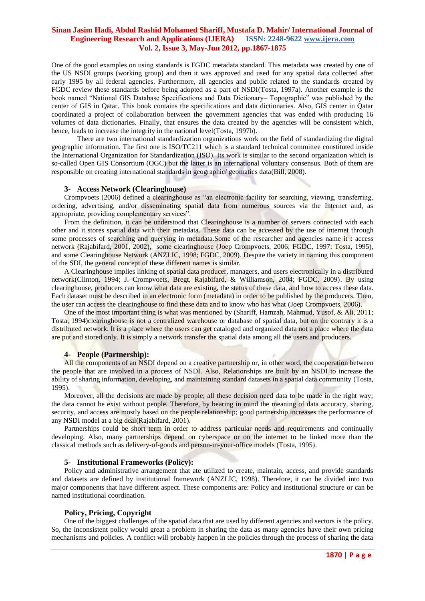One of the good examples on using standards is FGDC metadata standard. This metadata was created by one of the US NSDI groups (working group) and then it was approved and used for any spatial data collected after early 1995 by all federal agencies. Furthermore, all agencies and public related to the standards created by FGDC review these standards before being adopted as a part of NSDI(Tosta, 1997a). Another example is the book named "National GIS Database Specifications and Data Dictionary– Topographic" was published by the center of GIS in Qatar. This book contains the specifications and data dictionaries. Also, GIS center in Qatar coordinated a project of collaboration between the government agencies that was ended with producing 16 volumes of data dictionaries. Finally, that ensures the data created by the agencies will be consistent which, hence, leads to increase the integrity in the national level(Tosta, 1997b).

There are two international standardization organizations work on the field of standardizing the digital geographic information. The first one is ISO/TC211 which is a standard technical committee constituted inside the International Organization for Standardization (ISO). Its work is similar to the second organization which is so-called Open GIS Consortium (OGC) but the latter is an international voluntary consensus. Both of them are responsible on creating international standards in geographic/ geomatics data(Bill, 2008).

#### **3- Access Network (Clearinghouse)**

Crompvoets (2006) defined a clearinghouse as "an electronic facility for searching, viewing, transferring, ordering, advertising, and/or disseminating spatial data from numerous sources via the Internet and, as appropriate, providing complementary services".

From the definition, it can be understood that Clearinghouse is a number of servers connected with each other and it stores spatial data with their metadata. These data can be accessed by the use of internet through some processes of searching and querying in metadata. Some of the researcher and agencies name it: access network (Rajabifard, 2001, 2002), some clearinghouse (Joep Crompvoets, 2006; FGDC, 1997; Tosta, 1995), and some Clearinghouse Network (ANZLIC, 1998; FGDC, 2009). Despite the variety in naming this component of the SDI, the general concept of these different names is similar.

A Clearinghouse implies linking of spatial data producer, managers, and users electronically in a distributed network(Clinton, 1994; J. Crompvoets, Bregt, Rajabifard, & Williamson, 2004; FGDC, 2009). By using clearinghouse, producers can know what data are existing, the status of these data, and how to access these data. Each dataset must be described in an electronic form (metadata) in order to be published by the producers. Then, the user can access the clearinghouse to find these data and to know who has what (Joep Crompvoets, 2006).

One of the most important thing is what was mentioned by (Shariff, Hamzah, Mahmud, Yusof, & Ali, 2011; Tosta, 1994)clearinghouse is not a centralized warehouse or database of spatial data, but on the contrary it is a distributed network. It is a place where the users can get cataloged and organized data not a place where the data are put and stored only. It is simply a network transfer the spatial data among all the users and producers.

#### **4- People (Partnership):**

All the components of an NSDI depend on a creative partnership or, in other word, the cooperation between the people that are involved in a process of NSDI. Also, Relationships are built by an NSDI to increase the ability of sharing information, developing, and maintaining standard datasets in a spatial data community (Tosta, 1995).

Moreover, all the decisions are made by people; all these decision need data to be made in the right way; the data cannot be exist without people. Therefore, by bearing in mind the meaning of data accuracy, sharing, security, and access are mostly based on the people relationship; good partnership increases the performance of any NSDI model at a big deal(Rajabifard, 2001).

Partnerships could be short term in order to address particular needs and requirements and continually developing. Also, many partnerships depend on cyberspace or on the internet to be linked more than the classical methods such as delivery-of-goods and person-in-your-office models (Tosta, 1995).

#### **5- Institutional Frameworks (Policy):**

Policy and administrative arrangement that ate utilized to create, maintain, access, and provide standards and datasets are defined by institutional framework (ANZLIC, 1998). Therefore, it can be divided into two major components that have different aspect. These components are: Policy and institutional structure or can be named institutional coordination.

#### **Policy, Pricing, Copyright**

One of the biggest challenges of the spatial data that are used by different agencies and sectors is the policy. So, the inconsistent policy would great a problem in sharing the data as many agencies have their own pricing mechanisms and policies. A conflict will probably happen in the policies through the process of sharing the data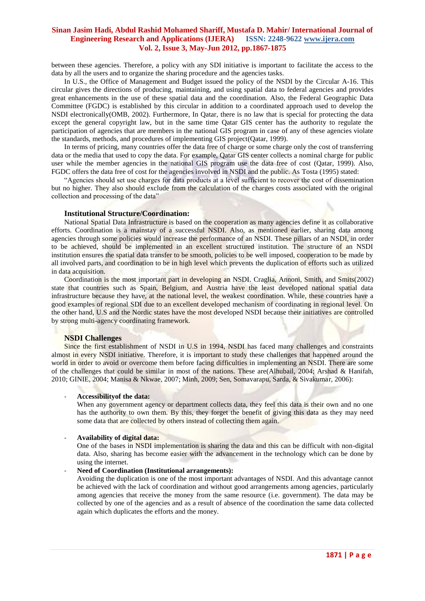between these agencies. Therefore, a policy with any SDI initiative is important to facilitate the access to the data by all the users and to organize the sharing procedure and the agencies tasks.

In U.S., the Office of Management and Budget issued the policy of the NSDI by the Circular A-16. This circular gives the directions of producing, maintaining, and using spatial data to federal agencies and provides great enhancements in the use of these spatial data and the coordination. Also, the Federal Geographic Data Committee (FGDC) is established by this circular in addition to a coordinated approach used to develop the NSDI electronically(OMB, 2002). Furthermore, In Qatar, there is no law that is special for protecting the data except the general copyright law, but in the same time Qatar GIS center has the authority to regulate the participation of agencies that are members in the national GIS program in case of any of these agencies violate the standards, methods, and procedures of implementing GIS project(Qatar, 1999).

In terms of pricing, many countries offer the data free of charge or some charge only the cost of transferring data or the media that used to copy the data. For example, Qatar GIS center collects a nominal charge for public user while the member agencies in the national GIS program use the data free of cost (Qatar, 1999). Also, FGDC offers the data free of cost for the agencies involved in NSDI and the public. As Tosta (1995) stated:

"Agencies should set use charges for data products at a level sufficient to recover the cost of dissemination but no higher. They also should exclude from the calculation of the charges costs associated with the original collection and processing of the data"

#### **Institutional Structure/Coordination:**

National Spatial Data Infrastructure is based on the cooperation as many agencies define it as collaborative efforts. Coordination is a mainstay of a successful NSDI. Also, as mentioned earlier, sharing data among agencies through some policies would increase the performance of an NSDI. These pillars of an NSDI, in order to be achieved, should be implemented in an excellent structured institution. The structure of an NSDI institution ensures the spatial data transfer to be smooth, policies to be well imposed, cooperation to be made by all involved parts, and coordination to be in high level which prevents the duplication of efforts such as utilized in data acquisition.

Coordination is the most important part in developing an NSDI. Craglia, Annoni, Smith, and Smits(2002) state that countries such as Spain, Belgium, and Austria have the least developed national spatial data infrastructure because they have, at the national level, the weakest coordination. While, these countries have a good examples of regional SDI due to an excellent developed mechanism of coordinating in regional level. On the other hand, U.S and the Nordic states have the most developed NSDI because their initiatives are controlled by strong multi-agency coordinating framework.

#### **NSDI Challenges**

Since the first establishment of NSDI in U.S in 1994, NSDI has faced many challenges and constraints almost in every NSDI initiative. Therefore, it is important to study these challenges that happened around the world in order to avoid or overcome them before facing difficulties in implementing an NSDI. There are some of the challenges that could be similar in most of the nations. These are(Alhubail, 2004; Arshad & Hanifah, 2010; GINIE, 2004; Manisa & Nkwae, 2007; Minh, 2009; Sen, Somavarapu, Sarda, & Sivakumar, 2006):

#### - **Accessibilityof the data:**

When any government agency or department collects data, they feel this data is their own and no one has the authority to own them. By this, they forget the benefit of giving this data as they may need some data that are collected by others instead of collecting them again.

#### - **Availability of digital data:**

One of the bases in NSDI implementation is sharing the data and this can be difficult with non-digital data. Also, sharing has become easier with the advancement in the technology which can be done by using the internet.

#### - **Need of Coordination (Institutional arrangements):**

Avoiding the duplication is one of the most important advantages of NSDI. And this advantage cannot be achieved with the lack of coordination and without good arrangements among agencies, particularly among agencies that receive the money from the same resource (i.e. government). The data may be collected by one of the agencies and as a result of absence of the coordination the same data collected again which duplicates the efforts and the money.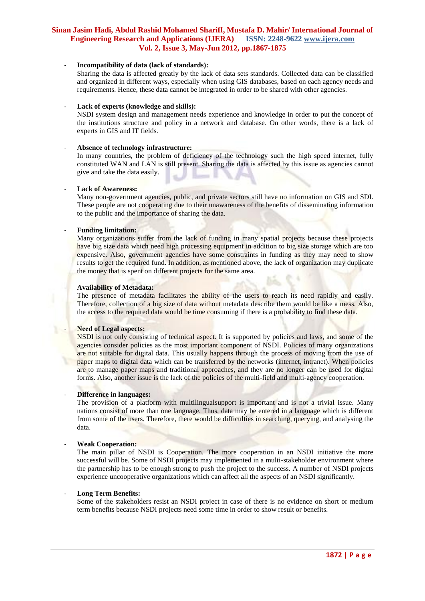## - **Incompatibility of data (lack of standards):**

Sharing the data is affected greatly by the lack of data sets standards. Collected data can be classified and organized in different ways, especially when using GIS databases, based on each agency needs and requirements. Hence, these data cannot be integrated in order to be shared with other agencies.

## Lack of experts (knowledge and skills):

NSDI system design and management needs experience and knowledge in order to put the concept of the institutions structure and policy in a network and database. On other words, there is a lack of experts in GIS and IT fields.

### - **Absence of technology infrastructure:**

In many countries, the problem of deficiency of the technology such the high speed internet, fully constituted WAN and LAN is still present. Sharing the data is affected by this issue as agencies cannot give and take the data easily.

## Lack of Awareness:

Many non-government agencies, public, and private sectors still have no information on GIS and SDI. These people are not cooperating due to their unawareness of the benefits of disseminating information to the public and the importance of sharing the data.

## - **Funding limitation:**

Many organizations suffer from the lack of funding in many spatial projects because these projects have big size data which need high processing equipment in addition to big size storage which are too expensive. Also, government agencies have some constraints in funding as they may need to show results to get the required fund. In addition, as mentioned above, the lack of organization may duplicate the money that is spent on different projects for the same area.

#### - **Availability of Metadata:**

The presence of metadata facilitates the ability of the users to reach its need rapidly and easily. Therefore, collection of a big size of data without metadata describe them would be like a mess. Also, the access to the required data would be time consuming if there is a probability to find these data.

## Need of Legal aspects:

NSDI is not only consisting of technical aspect. It is supported by policies and laws, and some of the agencies consider policies as the most important component of NSDI. Policies of many organizations are not suitable for digital data. This usually happens through the process of moving from the use of paper maps to digital data which can be transferred by the networks (internet, intranet). When policies are to manage paper maps and traditional approaches, and they are no longer can be used for digital forms. Also, another issue is the lack of the policies of the multi-field and multi-agency cooperation.

#### - **Difference in languages:**

The provision of a platform with multilingualsupport is important and is not a trivial issue. Many nations consist of more than one language. Thus, data may be entered in a language which is different from some of the users. Therefore, there would be difficulties in searching, querying, and analysing the data.

#### - **Weak Cooperation:**

The main pillar of NSDI is Cooperation. The more cooperation in an NSDI initiative the more successful will be. Some of NSDI projects may implemented in a multi-stakeholder environment where the partnership has to be enough strong to push the project to the success. A number of NSDI projects experience uncooperative organizations which can affect all the aspects of an NSDI significantly.

#### - **Long Term Benefits:**

Some of the stakeholders resist an NSDI project in case of there is no evidence on short or medium term benefits because NSDI projects need some time in order to show result or benefits.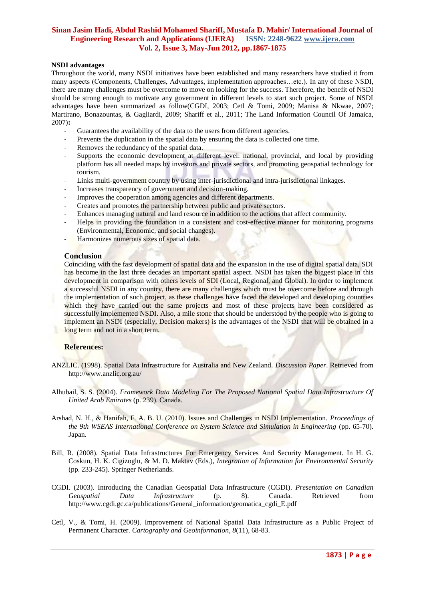## **NSDI advantages**

Throughout the world, many NSDI initiatives have been established and many researchers have studied it from many aspects (Components, Challenges, Advantages, implementation approaches…etc.). In any of these NSDI, there are many challenges must be overcome to move on looking for the success. Therefore, the benefit of NSDI should be strong enough to motivate any government in different levels to start such project. Some of NSDI advantages have been summarized as follow(CGDI, 2003; Cetl & Tomi, 2009; Manisa & Nkwae, 2007; Martirano, Bonazountas, & Gagliardi, 2009; Shariff et al., 2011; The Land Information Council Of Jamaica, 2007)**:**

- Guarantees the availability of the data to the users from different agencies.
- Prevents the duplication in the spatial data by ensuring the data is collected one time.
- Removes the redundancy of the spatial data.
- Supports the economic development at different level: national, provincial, and local by providing platform has all needed maps by investors and private sectors, and promoting geospatial technology for tourism.
- Links multi-government country by using inter-jurisdictional and intra-jurisdictional linkages.
- Increases transparency of government and decision-making.
- Improves the cooperation among agencies and different departments.
- Creates and promotes the partnership between public and private sectors.
- Enhances managing natural and land resource in addition to the actions that affect community.
- Helps in providing the foundation in a consistent and cost-effective manner for monitoring programs (Environmental, Economic, and social changes).
- Harmonizes numerous sizes of spatial data.

## **Conclusion**

Coinciding with the fast development of spatial data and the expansion in the use of digital spatial data, SDI has become in the last three decades an important spatial aspect. NSDI has taken the biggest place in this development in comparison with others levels of SDI (Local, Regional, and Global). In order to implement a successful NSDI in any country, there are many challenges which must be overcome before and through the implementation of such project, as these challenges have faced the developed and developing countries which they have carried out the same projects and most of these projects have been considered as successfully implemented NSDI. Also, a mile stone that should be understood by the people who is going to implement an NSDI (especially, Decision makers) is the advantages of the NSDI that will be obtained in a long term and not in a short term.

## **References:**

- ANZLIC. (1998). Spatial Data Infrastructure for Australia and New Zealand. *Discussion Paper*. Retrieved from http://www.anzlic.org.au/
- Alhubail, S. S. (2004). *Framework Data Modeling For The Proposed National Spatial Data Infrastructure Of United Arab Emirates* (p. 239). Canada.
- Arshad, N. H., & Hanifah, F. A. B. U. (2010). Issues and Challenges in NSDI Implementation. *Proceedings of the 9th WSEAS International Conference on System Science and Simulation in Engineering* (pp. 65-70). Japan.
- Bill, R. (2008). Spatial Data Infrastructures For Emergency Services And Security Management. In H. G. Coskun, H. K. Cigizoglu, & M. D. Maktav (Eds.), *Integration of Information for Environmental Security* (pp. 233-245). Springer Netherlands.
- CGDI. (2003). Introducing the Canadian Geospatial Data Infrastructure (CGDI). *Presentation on Canadian Geospatial Data Infrastructure* (p. 8). Canada. Retrieved from http://www.cgdi.gc.ca/publications/General\_information/geomatica\_cgdi\_E.pdf
- Cetl, V., & Tomi, H. (2009). Improvement of National Spatial Data Infrastructure as a Public Project of Permanent Character. *Cartography and Geoinformation*, *8*(11), 68-83.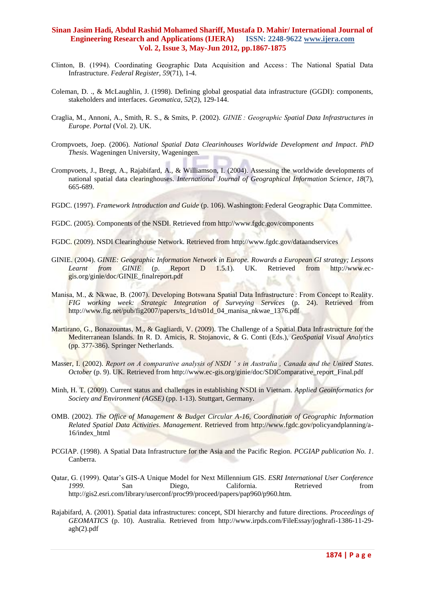- Clinton, B. (1994). Coordinating Geographic Data Acquisition and Access : The National Spatial Data Infrastructure. *Federal Register*, *59*(71), 1-4.
- Coleman, D. ., & McLaughlin, J. (1998). Defining global geospatial data infrastructure (GGDI): components, stakeholders and interfaces. *Geomatica*, *52*(2), 129-144.
- Craglia, M., Annoni, A., Smith, R. S., & Smits, P. (2002). *GINIE : Geographic Spatial Data Infrastructures in Europe*. *Portal* (Vol. 2). UK.
- Crompvoets, Joep. (2006). *National Spatial Data Clearinhouses Worldwide Development and Impact*. *PhD Thesis*. Wageningen University, Wageningen.
- Crompvoets, J., Bregt, A., Rajabifard, A., & Williamson, I. (2004). Assessing the worldwide developments of national spatial data clearinghouses. *International Journal of Geographical Information Science*, *18*(7), 665-689.
- FGDC. (1997). *Framework Introduction and Guide* (p. 106). Washington: Federal Geographic Data Committee.
- FGDC. (2005). Components of the NSDI. Retrieved from http://www.fgdc.gov/components
- FGDC. (2009). NSDI Clearinghouse Network. Retrieved from http://www.fgdc.gov/dataandservices
- GINIE. (2004). *GINIE: Geographic Information Network in Europe. Rowards a European GI strategy; Lessons Learnt from GINIE* (p. Report D 1.5.1). UK. Retrieved from http://www.ecgis.org/ginie/doc/GINIE\_finalreport.pdf
- Manisa, M., & Nkwae, B. (2007). Developing Botswana Spatial Data Infrastructure : From Concept to Reality. *FIG working week: Strategic Integration of Surveying Services* (p. 24). Retrieved from http://www.fig.net/pub/fig2007/papers/ts\_1d/ts01d\_04\_manisa\_nkwae\_1376.pdf
- Martirano, G., Bonazountas, M., & Gagliardi, V. (2009). The Challenge of a Spatial Data Infrastructure for the Mediterranean Islands. In R. D. Amicis, R. Stojanovic, & G. Conti (Eds.), *GeoSpatial Visual Analytics* (pp. 377-386). Springer Netherlands.
- Masser, I. (2002). *Report on A comparative analysis of NSDI ' s in Australia , Canada and the United States*. *October* (p. 9). UK. Retrieved from http://www.ec-gis.org/ginie/doc/SDIComparative\_report\_Final.pdf
- Minh, H. T. (2009). Current status and challenges in establishing NSDI in Vietnam. *Applied Geoinformatics for Society and Environment (AGSE)* (pp. 1-13). Stuttgart, Germany.
- OMB. (2002). *The Office of Management & Budget Circular A-16, Coordination of Geographic Information Related Spatial Data Activities*. *Management*. Retrieved from http://www.fgdc.gov/policyandplanning/a-16/index\_html
- PCGIAP. (1998). A Spatial Data Infrastructure for the Asia and the Pacific Region. *PCGIAP publication No. 1*. Canberra.
- Qatar, G. (1999). Qatar's GIS-A Unique Model for Next Millennium GIS. *ESRI International User Conference 1999*. San Diego, California. Retrieved from http://gis2.esri.com/library/userconf/proc99/proceed/papers/pap960/p960.htm.
- Rajabifard, A. (2001). Spatial data infrastructures: concept, SDI hierarchy and future directions. *Proceedings of GEOMATICS* (p. 10). Australia. Retrieved from http://www.irpds.com/FileEssay/joghrafi-1386-11-29 agh(2).pdf